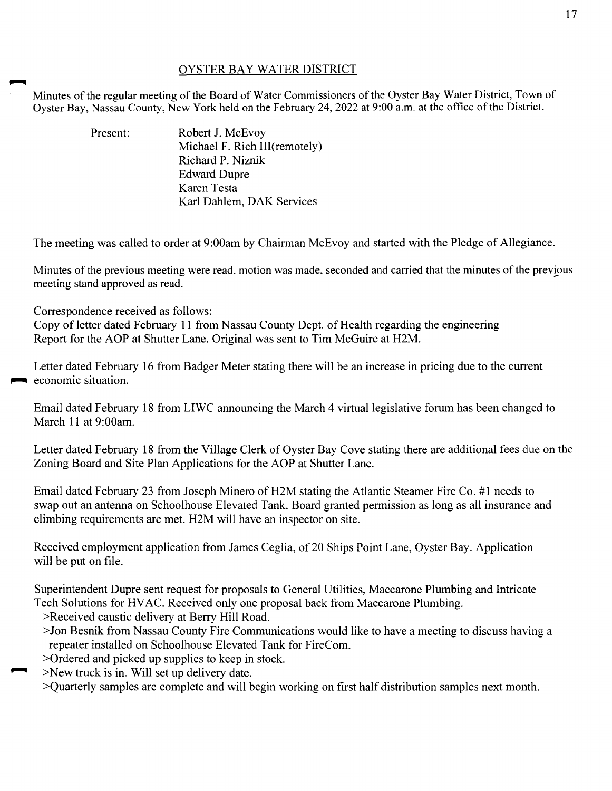## OYSTER BAY WATER DISTRICT

Minutes of the regular meeting of the Board of Water Commissioners of the Oyster Bay Water District, Town of Oyster Bay, Nassau County, New York held on the February 24, 2022 at 9:00 a.m. at the office of the District.

| Present: | Robert J. McEvoy              |
|----------|-------------------------------|
|          | Michael F. Rich III(remotely) |
|          | Richard P. Niznik             |
|          | <b>Edward Dupre</b>           |
|          | Karen Testa                   |
|          | Karl Dahlem, DAK Services     |

The meeting was called to order at 9:00am by Chairman McEvoy and started with the Pledge of Allegiance.

Minutes of the previous meeting were read, motion was made, seconded and carried that the minutes of the previous meeting stand approved as read.

Correspondence received as follows:

Copy of letter dated February 11 from Nassau County Dept. of Health regarding the engineering Report for the AOP at Shutter Lane. Original was sent to Tim McGuire at H2M.

Letter dated February 16 from Badger Meter stating there will be an increase in pricing due to the current **1** economic situation.

Email dated February 18 from LIWC announcing the March 4 virtual legislative forum has been changed to March 11 at 9:00am.

Letter dated February 18 from the Village Clerk of Oyster Bay Cove stating there are additional fees due on the Zoning Board and Site Plan Applications for the AOP at Shutter Lane.

Email dated February 23 from Joseph Minero of H2M stating the Atlantic Steamer Fire Co. #1 needs to swap out an antenna on Schoolhouse Elevated Tank. Board granted permission as long as all insurance and climbing requirements are met. H2M will have an inspector on site.

Received employment application from James Ceglia, of 20 Ships Point Lane, Oyster Bay. Application will be put on file.

Superintendent Dupre sent request for proposals to General Utilities, Maccarone Plumbing and Intricate Tech Solutions for HVAC. Received only one proposal back from Maccarone Plumbing.

- >Received caustic delivery at Berry Hill Road.
- >Jon Besnik from Nassau County Fire Communications would like to have a meeting to discuss having a repeater installed on Schoolhouse Elevated Tank for FireCom.
- >Ordered and picked up supplies to keep in stock.
- >New truck is in. Will set up delivery date.
- >Quarterly samples are complete and will begin working on first half distribution samples next month.